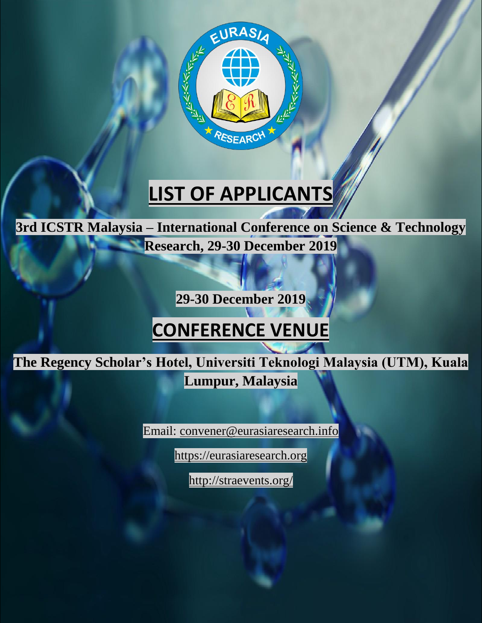

# **LIST OF APPLICANTS**

**3rd ICSTR Malaysia – International Conference on Science & Technology Research, 29-30 December 2019**

**29-30 December 2019**

## **CONFERENCE VENUE**

**The Regency Scholar's Hotel, Universiti Teknologi Malaysia (UTM), Kuala Lumpur, Malaysia**

Email: [convener@eurasiaresearch.info](mailto:convener@eurasiaresearch.org)

[https://eurasiaresearch.org](https://eurasiaresearch.org/)

http://straevents.org/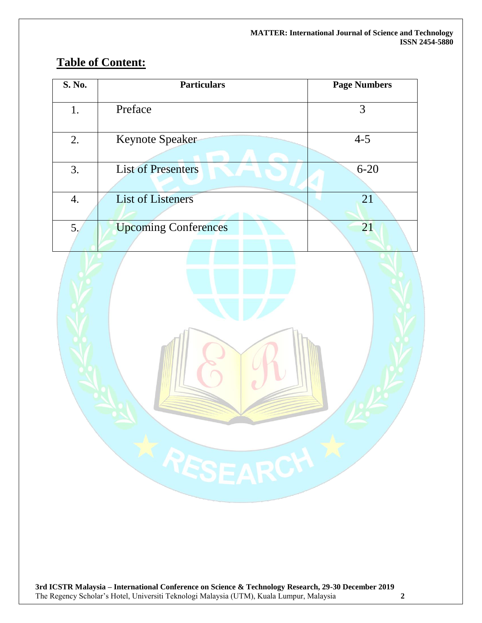### **Table of Content:**

| S. No. | <b>Particulars</b>          | <b>Page Numbers</b> |
|--------|-----------------------------|---------------------|
| 1.     | Preface                     | 3                   |
| 2.     | <b>Keynote Speaker</b>      | $4 - 5$             |
| 3.     | <b>List of Presenters</b>   | $6 - 20$            |
| 4.     | <b>List of Listeners</b>    | 21                  |
| 5.     | <b>Upcoming Conferences</b> | 21                  |
|        | X RESEARCH X                |                     |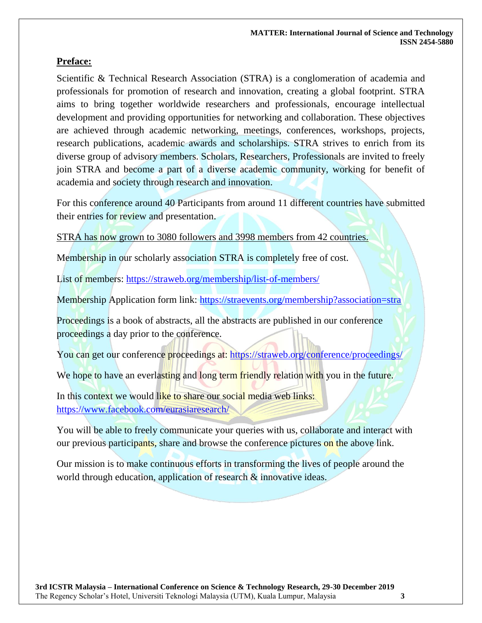### **Preface:**

Scientific & Technical Research Association (STRA) is a conglomeration of academia and professionals for promotion of research and innovation, creating a global footprint. STRA aims to bring together worldwide researchers and professionals, encourage intellectual development and providing opportunities for networking and collaboration. These objectives are achieved through academic networking, meetings, conferences, workshops, projects, research publications, academic awards and scholarships. STRA strives to enrich from its diverse group of advisory members. Scholars, Researchers, Professionals are invited to freely join STRA and become a part of a diverse academic community, working for benefit of academia and society through research and innovation.

For this conference around 40 Participants from around 11 different countries have submitted their entries for review and presentation.

STRA has now grown to 3080 followers and 3998 members from 42 countries.

Membership in our scholarly association STRA is completely free of cost.

List of members: https://straweb.org/membership/list-of-members/

Membership Application form link: https://straevents.org/membership?association=stra

Proceedings is a book of abstracts, all the abstracts are published in our conference proceedings a day prior to the conference.

You can get our conference proceedings at: https://straweb.org/conference/proceedings/

We hope to have an everlasting and long term friendly relation with you in the future.

In this context we would like to share our social media web links: https://www.facebook.com/eurasiaresearch/

You will be able to freely communicate your queries with us, collaborate and interact with our previous participants, share and browse the conference pictures on the above link.

Our mission is to make continuous efforts in transforming the lives of people around the world through education, application of research  $\&$  innovative ideas.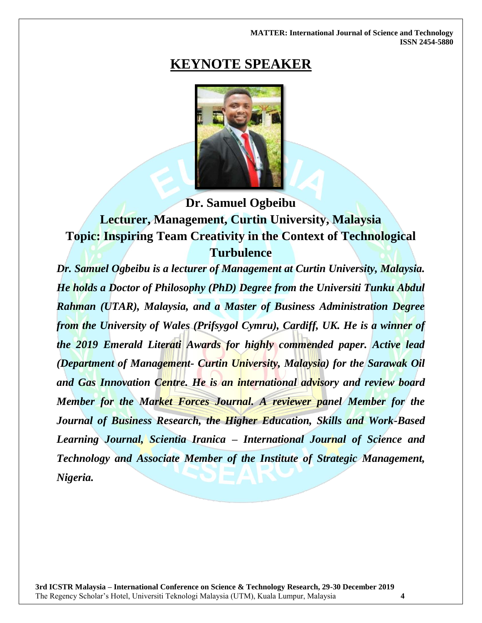**MATTER: International Journal of Science and Technology ISSN 2454-5880**

### **KEYNOTE SPEAKER**



### **Dr. Samuel Ogbeibu Lecturer, Management, Curtin University, Malaysia Topic: Inspiring Team Creativity in the Context of Technological Turbulence**

*Dr. Samuel Ogbeibu is a lecturer of Management at Curtin University, Malaysia. He holds a Doctor of Philosophy (PhD) Degree from the Universiti Tunku Abdul Rahman (UTAR), Malaysia, and a Master of Business Administration Degree from the University of Wales (Prifsygol Cymru), Cardiff, UK. He is a winner of the 2019 Emerald Literati Awards for highly commended paper. Active lead (Department of Management- Curtin University, Malaysia) for the Sarawak Oil and Gas Innovation Centre. He is an international advisory and review board Member for the Market Forces Journal. A reviewer panel Member for the Journal of Business Research, the Higher Education, Skills and Work-Based Learning Journal, Scientia Iranica – International Journal of Science and Technology and Associate Member of the Institute of Strategic Management, Nigeria.*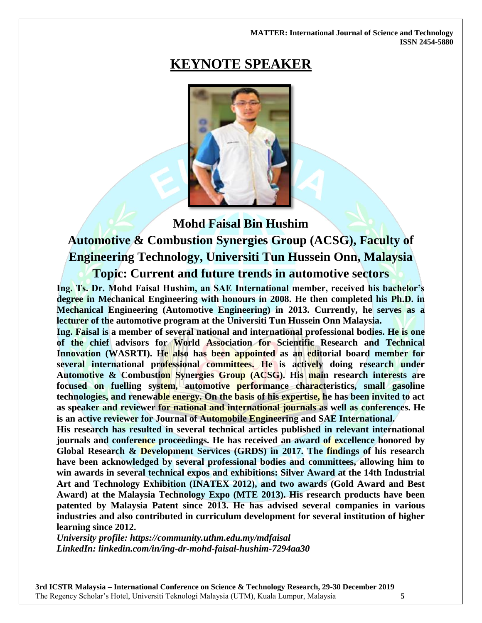#### **MATTER: International Journal of Science and Technology ISSN 2454-5880**

### **KEYNOTE SPEAKER**



**Mohd Faisal Bin Hushim**

**Automotive & Combustion Synergies Group (ACSG), Faculty of Engineering Technology, Universiti Tun Hussein Onn, Malaysia**

**Topic: Current and future trends in automotive sectors**

**Ing. Ts. Dr. Mohd Faisal Hushim, an SAE International member, received his bachelor's degree in Mechanical Engineering with honours in 2008. He then completed his Ph.D. in Mechanical Engineering (Automotive Engineering) in 2013. Currently, he serves as a lecturer of the automotive program at the Universiti Tun Hussein Onn Malaysia.**

**Ing. Faisal is a member of several national and international professional bodies. He is one of the chief advisors for World Association for Scientific Research and Technical Innovation (WASRTI). He also has been appointed as an editorial board member for several international professional committees. He is actively doing research under Automotive & Combustion Synergies Group (ACSG). His main research interests are focused on fuelling system, automotive performance characteristics, small gasoline technologies, and renewable energy. On the basis of his expertise, he has been invited to act as speaker and reviewer for national and international journals as well as conferences. He is an active reviewer for Journal of Automobile Engineering and SAE International.**

**His research has resulted in several technical articles published in relevant international journals and conference proceedings. He has received an award of excellence honored by Global Research & Development Services (GRDS) in 2017. The findings of his research have been acknowledged by several professional bodies and committees, allowing him to win awards in several technical expos and exhibitions: Silver Award at the 14th Industrial Art and Technology Exhibition (INATEX 2012), and two awards (Gold Award and Best Award) at the Malaysia Technology Expo (MTE 2013). His research products have been patented by Malaysia Patent since 2013. He has advised several companies in various industries and also contributed in curriculum development for several institution of higher learning since 2012.**

*University profile: <https://community.uthm.edu.my/mdfaisal> LinkedIn: [linkedin.com/in/ing-dr-mohd-faisal-hushim-7294aa30](https://eurasiaresearch.org/conference/linkedin.com/in/ing-dr-mohd-faisal-hushim-7294aa30)*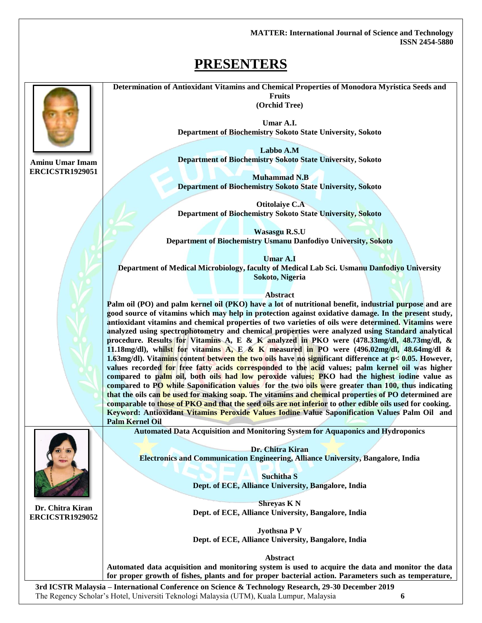**MATTER: International Journal of Science and Technology ISSN 2454-5880**

### **PRESENTERS**



**Aminu Umar Imam ERCICSTR1929051** **Determination of Antioxidant Vitamins and Chemical Properties of Monodora Myristica Seeds and Fruits (Orchid Tree)**

> **Umar A.I. Department of Biochemistry Sokoto State University, Sokoto**

> **Labbo A.M Department of Biochemistry Sokoto State University, Sokoto**

> **Muhammad N.B Department of Biochemistry Sokoto State University, Sokoto**

> **Otitolaiye C.A Department of Biochemistry Sokoto State University, Sokoto**

**Wasasgu R.S.U Department of Biochemistry Usmanu Danfodiyo University, Sokoto**

**Umar A.I Department of Medical Microbiology, faculty of Medical Lab Sci. Usmanu Danfodiyo University Sokoto, Nigeria**

**Abstract**

**Palm oil (PO) and palm kernel oil (PKO) have a lot of nutritional benefit, industrial purpose and are good source of vitamins which may help in protection against oxidative damage. In the present study, antioxidant vitamins and chemical properties of two varieties of oils were determined. Vitamins were analyzed using spectrophotometry and chemical properties were analyzed using Standard analytical procedure. Results for Vitamins A, E & K analyzed in PKO were (478.33mg/dl, 48.73mg/dl, & 11.18mg/dl), whilst for vitamins A, E & K measured in PO were (496.02mg/dl, 48.64mg/dl & 1.63mg/dl). Vitamins content between the two oils have no significant difference at p< 0.05. However, values recorded for free fatty acids corresponded to the acid values; palm kernel oil was higher compared to palm oil, both oils had low peroxide values; PKO had the highest iodine value as compared to PO while Saponification values for the two oils were greater than 100, thus indicating that the oils can be used for making soap. The vitamins and chemical properties of PO determined are comparable to those of PKO and that the seed oils are not inferior to other edible oils used for cooking. Keyword: Antioxidant Vitamins Peroxide Values Iodine Value Saponification Values Palm Oil and Palm Kernel Oil**



**Dr. Chitra Kiran ERCICSTR1929052**

**Automated Data Acquisition and Monitoring System for Aquaponics and Hydroponics**

**Dr. Chitra Kiran Electronics and Communication Engineering, Alliance University, Bangalore, India**

> **Suchitha S Dept. of ECE, Alliance University, Bangalore, India**

> **Shreyas K N Dept. of ECE, Alliance University, Bangalore, India**

> **Jyothsna P V Dept. of ECE, Alliance University, Bangalore, India**

> > **Abstract**

**Automated data acquisition and monitoring system is used to acquire the data and monitor the data for proper growth of fishes, plants and for proper bacterial action. Parameters such as temperature,**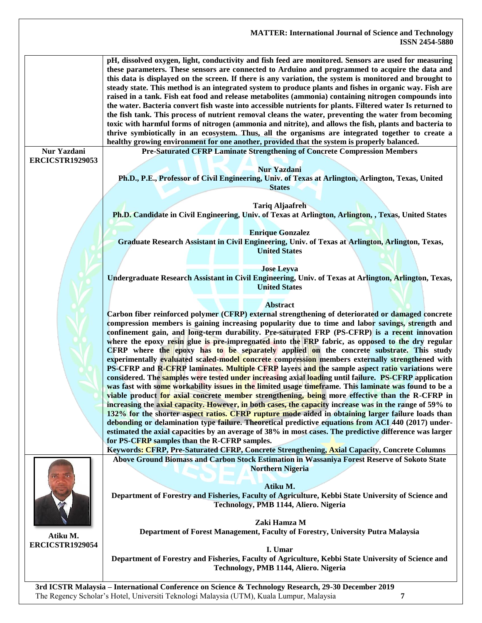|                                       | <b>MATTER: International Journal of Science and Technology</b><br><b>ISSN 2454-5880</b>                                                                                                                                                                                                                                                                                                                                                                                                                                                                                                                                                                                                                                                                                                                                                                                                                                                                                                                                                                                     |  |
|---------------------------------------|-----------------------------------------------------------------------------------------------------------------------------------------------------------------------------------------------------------------------------------------------------------------------------------------------------------------------------------------------------------------------------------------------------------------------------------------------------------------------------------------------------------------------------------------------------------------------------------------------------------------------------------------------------------------------------------------------------------------------------------------------------------------------------------------------------------------------------------------------------------------------------------------------------------------------------------------------------------------------------------------------------------------------------------------------------------------------------|--|
|                                       | pH, dissolved oxygen, light, conductivity and fish feed are monitored. Sensors are used for measuring<br>these parameters. These sensors are connected to Arduino and programmed to acquire the data and<br>this data is displayed on the screen. If there is any variation, the system is monitored and brought to<br>steady state. This method is an integrated system to produce plants and fishes in organic way. Fish are<br>raised in a tank. Fish eat food and release metabolites (ammonia) containing nitrogen compounds into<br>the water. Bacteria convert fish waste into accessible nutrients for plants. Filtered water Is returned to<br>the fish tank. This process of nutrient removal cleans the water, preventing the water from becoming<br>toxic with harmful forms of nitrogen (ammonia and nitrite), and allows the fish, plants and bacteria to<br>thrive symbiotically in an ecosystem. Thus, all the organisms are integrated together to create a<br>healthy growing environment for one another, provided that the system is properly balanced. |  |
| Nur Yazdani<br><b>ERCICSTR1929053</b> | Pre-Saturated CFRP Laminate Strengthening of Concrete Compression Members                                                                                                                                                                                                                                                                                                                                                                                                                                                                                                                                                                                                                                                                                                                                                                                                                                                                                                                                                                                                   |  |
|                                       | <b>Nur Yazdani</b><br>Ph.D., P.E., Professor of Civil Engineering, Univ. of Texas at Arlington, Arlington, Texas, United                                                                                                                                                                                                                                                                                                                                                                                                                                                                                                                                                                                                                                                                                                                                                                                                                                                                                                                                                    |  |
|                                       | <b>States</b>                                                                                                                                                                                                                                                                                                                                                                                                                                                                                                                                                                                                                                                                                                                                                                                                                                                                                                                                                                                                                                                               |  |
|                                       | <b>Tariq Aljaafreh</b>                                                                                                                                                                                                                                                                                                                                                                                                                                                                                                                                                                                                                                                                                                                                                                                                                                                                                                                                                                                                                                                      |  |
|                                       | Ph.D. Candidate in Civil Engineering, Univ. of Texas at Arlington, Arlington, , Texas, United States                                                                                                                                                                                                                                                                                                                                                                                                                                                                                                                                                                                                                                                                                                                                                                                                                                                                                                                                                                        |  |
|                                       | <b>Enrique Gonzalez</b>                                                                                                                                                                                                                                                                                                                                                                                                                                                                                                                                                                                                                                                                                                                                                                                                                                                                                                                                                                                                                                                     |  |
|                                       | Graduate Research Assistant in Civil Engineering, Univ. of Texas at Arlington, Arlington, Texas,<br><b>United States</b>                                                                                                                                                                                                                                                                                                                                                                                                                                                                                                                                                                                                                                                                                                                                                                                                                                                                                                                                                    |  |
|                                       |                                                                                                                                                                                                                                                                                                                                                                                                                                                                                                                                                                                                                                                                                                                                                                                                                                                                                                                                                                                                                                                                             |  |
|                                       | <b>Jose Leyva</b><br>Undergraduate Research Assistant in Civil Engineering, Univ. of Texas at Arlington, Arlington, Texas,<br><b>United States</b>                                                                                                                                                                                                                                                                                                                                                                                                                                                                                                                                                                                                                                                                                                                                                                                                                                                                                                                          |  |
|                                       |                                                                                                                                                                                                                                                                                                                                                                                                                                                                                                                                                                                                                                                                                                                                                                                                                                                                                                                                                                                                                                                                             |  |
|                                       | <b>Abstract</b><br>Carbon fiber reinforced polymer (CFRP) external strengthening of deteriorated or damaged concrete<br>compression members is gaining increasing popularity due to time and labor savings, strength and<br>confinement gain, and long-term durability. Pre-saturated FRP (PS-CFRP) is a recent innovation<br>where the epoxy resin glue is pre-impregnated into the FRP fabric, as opposed to the dry regular<br>CFRP where the epoxy has to be separately applied on the concrete substrate. This study<br>experimentally evaluated scaled-model concrete compression members externally strengthened with<br>PS-CFRP and R-CFRP laminates. Multiple CFRP layers and the sample aspect ratio variations were<br>considered. The samples were tested under increasing axial loading until failure. PS-CFRP application<br>was fast with some workability issues in the limited usage timeframe. This laminate was found to be a                                                                                                                            |  |
|                                       | viable product for axial concrete member strengthening, being more effective than the R-CFRP in<br>increasing the axial capacity. However, in both cases, the capacity increase was in the range of 59% to                                                                                                                                                                                                                                                                                                                                                                                                                                                                                                                                                                                                                                                                                                                                                                                                                                                                  |  |
|                                       | 132% for the shorter aspect ratios. CFRP rupture mode aided in obtaining larger failure loads than                                                                                                                                                                                                                                                                                                                                                                                                                                                                                                                                                                                                                                                                                                                                                                                                                                                                                                                                                                          |  |
|                                       | debonding or delamination type failure. Theoretical predictive equations from ACI 440 (2017) under-<br>estimated the axial capacities by an average of 38% in most cases. The predictive difference was larger                                                                                                                                                                                                                                                                                                                                                                                                                                                                                                                                                                                                                                                                                                                                                                                                                                                              |  |
|                                       | for PS-CFRP samples than the R-CFRP samples.                                                                                                                                                                                                                                                                                                                                                                                                                                                                                                                                                                                                                                                                                                                                                                                                                                                                                                                                                                                                                                |  |
|                                       | Keywords: CFRP, Pre-Saturated CFRP, Concrete Strengthening, Axial Capacity, Concrete Columns                                                                                                                                                                                                                                                                                                                                                                                                                                                                                                                                                                                                                                                                                                                                                                                                                                                                                                                                                                                |  |
|                                       | Above Ground Biomass and Carbon Stock Estimation in Wassaniya Forest Reserve of Sokoto State<br><b>Northern Nigeria</b>                                                                                                                                                                                                                                                                                                                                                                                                                                                                                                                                                                                                                                                                                                                                                                                                                                                                                                                                                     |  |
|                                       | Atiku M.<br>Department of Forestry and Fisheries, Faculty of Agriculture, Kebbi State University of Science and                                                                                                                                                                                                                                                                                                                                                                                                                                                                                                                                                                                                                                                                                                                                                                                                                                                                                                                                                             |  |
|                                       | Technology, PMB 1144, Aliero. Nigeria                                                                                                                                                                                                                                                                                                                                                                                                                                                                                                                                                                                                                                                                                                                                                                                                                                                                                                                                                                                                                                       |  |
|                                       | Zaki Hamza M                                                                                                                                                                                                                                                                                                                                                                                                                                                                                                                                                                                                                                                                                                                                                                                                                                                                                                                                                                                                                                                                |  |
| Atiku M.                              | Department of Forest Management, Faculty of Forestry, University Putra Malaysia                                                                                                                                                                                                                                                                                                                                                                                                                                                                                                                                                                                                                                                                                                                                                                                                                                                                                                                                                                                             |  |
| <b>ERCICSTR1929054</b>                | I. Umar                                                                                                                                                                                                                                                                                                                                                                                                                                                                                                                                                                                                                                                                                                                                                                                                                                                                                                                                                                                                                                                                     |  |
|                                       | Department of Forestry and Fisheries, Faculty of Agriculture, Kebbi State University of Science and<br>Technology, PMB 1144, Aliero. Nigeria                                                                                                                                                                                                                                                                                                                                                                                                                                                                                                                                                                                                                                                                                                                                                                                                                                                                                                                                |  |
|                                       | 3rd ICSTR Malaysia - International Conference on Science & Technology Research, 29-30 December 2019                                                                                                                                                                                                                                                                                                                                                                                                                                                                                                                                                                                                                                                                                                                                                                                                                                                                                                                                                                         |  |

The Regency Scholar's Hotel, Universiti Teknologi Malaysia (UTM), Kuala Lumpur, Malaysia **7**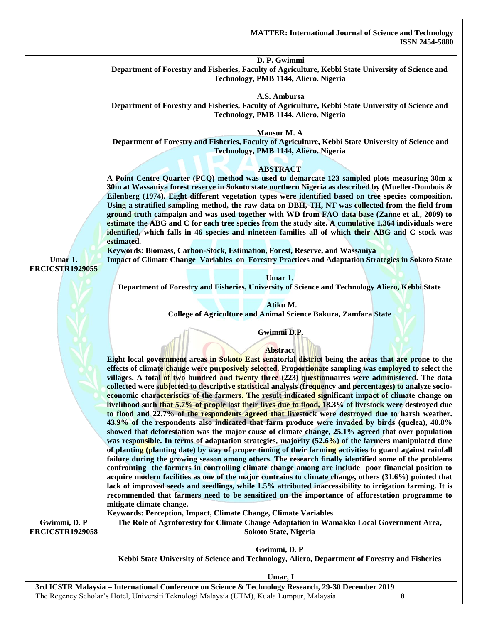|                        | D. P. Gwimmi                                                                                                                                                                                                        |  |
|------------------------|---------------------------------------------------------------------------------------------------------------------------------------------------------------------------------------------------------------------|--|
|                        | Department of Forestry and Fisheries, Faculty of Agriculture, Kebbi State University of Science and<br>Technology, PMB 1144, Aliero. Nigeria                                                                        |  |
|                        |                                                                                                                                                                                                                     |  |
|                        | A.S. Ambursa                                                                                                                                                                                                        |  |
|                        | Department of Forestry and Fisheries, Faculty of Agriculture, Kebbi State University of Science and                                                                                                                 |  |
|                        | Technology, PMB 1144, Aliero. Nigeria                                                                                                                                                                               |  |
|                        |                                                                                                                                                                                                                     |  |
|                        | Mansur M. A                                                                                                                                                                                                         |  |
|                        | Department of Forestry and Fisheries, Faculty of Agriculture, Kebbi State University of Science and                                                                                                                 |  |
|                        | Technology, PMB 1144, Aliero. Nigeria                                                                                                                                                                               |  |
|                        | <b>ABSTRACT</b>                                                                                                                                                                                                     |  |
|                        | A Point Centre Quarter (PCQ) method was used to demarcate 123 sampled plots measuring 30m x                                                                                                                         |  |
|                        | 30m at Wassaniya forest reserve in Sokoto state northern Nigeria as described by (Mueller-Dombois &                                                                                                                 |  |
|                        | Eilenberg (1974). Eight different vegetation types were identified based on tree species composition.                                                                                                               |  |
|                        | Using a stratified sampling method, the raw data on DBH, TH, NT was collected from the field from                                                                                                                   |  |
|                        | ground truth campaign and was used together with WD from FAO data base (Zanne et al., 2009) to                                                                                                                      |  |
|                        | estimate the ABG and C for each tree species from the study site. A cumulative 1,364 individuals were                                                                                                               |  |
|                        | identified, which falls in 46 species and nineteen families all of which their ABG and C stock was                                                                                                                  |  |
|                        | estimated.                                                                                                                                                                                                          |  |
| Umar <sub>1</sub> .    | Keywords: Biomass, Carbon-Stock, Estimation, Forest, Reserve, and Wassaniya<br>Impact of Climate Change Variables on Forestry Practices and Adaptation Strategies in Sokoto State                                   |  |
| <b>ERCICSTR1929055</b> |                                                                                                                                                                                                                     |  |
|                        | Umar 1.                                                                                                                                                                                                             |  |
|                        | Department of Forestry and Fisheries, University of Science and Technology Aliero, Kebbi State                                                                                                                      |  |
|                        |                                                                                                                                                                                                                     |  |
|                        | Atiku M.                                                                                                                                                                                                            |  |
|                        | College of Agriculture and Animal Science Bakura, Zamfara State                                                                                                                                                     |  |
|                        | Gwimmi D.P.                                                                                                                                                                                                         |  |
|                        |                                                                                                                                                                                                                     |  |
|                        | <b>Abstract</b>                                                                                                                                                                                                     |  |
|                        | Eight local government areas in Sokoto East senatorial district being the areas that are prone to the                                                                                                               |  |
|                        | effects of climate change were purposively selected. Proportionate sampling was employed to select the                                                                                                              |  |
|                        | villages. A total of two hundred and twenty three (223) questionnaires were administered. The data                                                                                                                  |  |
|                        | collected were subjected to descriptive statistical analysis (frequency and percentages) to analyze socio-<br>economic characteristics of the farmers. The result indicated significant impact of climate change on |  |
|                        | livelihood such that 5.7% of people lost their lives due to flood, 18.3% of livestock were destroyed due                                                                                                            |  |
|                        | to flood and 22.7% of the respondents agreed that livestock were destroyed due to harsh weather.                                                                                                                    |  |
|                        | 43.9% of the respondents also indicated that farm produce were invaded by birds (quelea), 40.8%                                                                                                                     |  |
|                        | showed that deforestation was the major cause of climate change, 25.1% agreed that over population                                                                                                                  |  |
|                        | was responsible. In terms of adaptation strategies, majority $(52.6%)$ of the farmers manipulated time                                                                                                              |  |
|                        | of planting (planting date) by way of proper timing of their farming activities to guard against rainfall                                                                                                           |  |
|                        | failure during the growing season among others. The research finally identified some of the problems                                                                                                                |  |
|                        | confronting the farmers in controlling climate change among are include poor financial position to<br>acquire modern facilities as one of the major contrains to climate change, others (31.6%) pointed that        |  |
|                        | lack of improved seeds and seedlings, while 1.5% attributed inaccessibility to irrigation farming. It is                                                                                                            |  |
|                        | recommended that farmers need to be sensitized on the importance of afforestation programme to                                                                                                                      |  |
|                        | mitigate climate change.                                                                                                                                                                                            |  |
|                        | Keywords: Perception, Impact, Climate Change, Climate Variables                                                                                                                                                     |  |
| Gwimmi, D. P           | The Role of Agroforestry for Climate Change Adaptation in Wamakko Local Government Area,                                                                                                                            |  |
| <b>ERCICSTR1929058</b> | Sokoto State, Nigeria                                                                                                                                                                                               |  |
|                        | Gwimmi, D. P                                                                                                                                                                                                        |  |
|                        | Kebbi State University of Science and Technology, Aliero, Department of Forestry and Fisheries                                                                                                                      |  |
|                        |                                                                                                                                                                                                                     |  |
|                        | Umar, I                                                                                                                                                                                                             |  |
|                        | 3rd ICSTR Malaysia - International Conference on Science & Technology Research, 29-30 December 2019                                                                                                                 |  |

The Regency Scholar's Hotel, Universiti Teknologi Malaysia (UTM), Kuala Lumpur, Malaysia **8**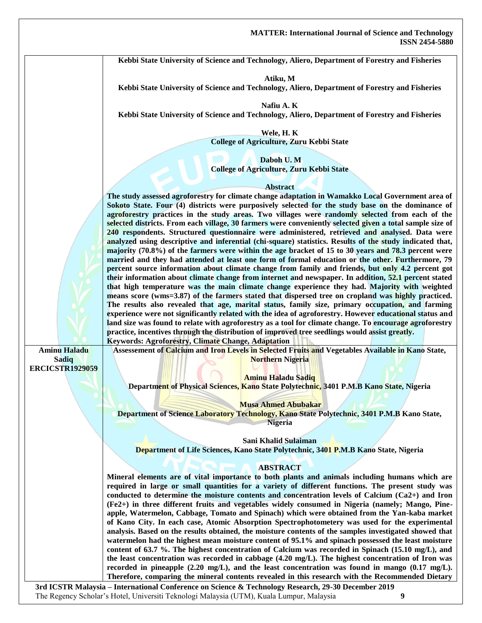**Kebbi State University of Science and Technology, Aliero, Department of Forestry and Fisheries**

**Atiku, M**

**Kebbi State University of Science and Technology, Aliero, Department of Forestry and Fisheries**

**Nafiu A. K**

**Kebbi State University of Science and Technology, Aliero, Department of Forestry and Fisheries**

**Wele, H. K College of Agriculture, Zuru Kebbi State**

**Daboh U. M College of Agriculture, Zuru Kebbi State**

#### **Abstract**

**The study assessed agroforestry for climate change adaptation in Wamakko Local Government area of Sokoto State. Four (4) districts were purposively selected for the study base on the dominance of agroforestry practices in the study areas. Two villages were randomly selected from each of the selected districts. From each village, 30 farmers were conveniently selected given a total sample size of 240 respondents. Structured questionnaire were administered, retrieved and analysed. Data were analyzed using descriptive and inferential (chi-square) statistics. Results of the study indicated that, majority (70.8%) of the farmers were within the age bracket of 15 to 30 years and 78.3 percent were married and they had attended at least one form of formal education or the other. Furthermore, 79 percent source information about climate change from family and friends, but only 4.2 percent got their information about climate change from internet and newspaper. In addition, 52.1 percent stated that high temperature was the main climate change experience they had. Majority with weighted means score (wms=3.87) of the farmers stated that dispersed tree on cropland was highly practiced. The results also revealed that age, marital status, family size, primary occupation, and farming experience were not significantly related with the idea of agroforestry. However educational status and land size was found to relate with agroforestry as a tool for climate change. To encourage agroforestry practice, incentives through the distribution of improved tree seedlings would assist greatly. Keywords: Agroforestry, Climate Change, Adaptation**

**Aminu Haladu Sadiq ERCICSTR1929059**

**Assessement of Calcium and Iron Levels in Selected Fruits and Vegetables Available in Kano State, Northern Nigeria**

**Aminu Haladu Sadiq Department of Physical Sciences, Kano State Polytechnic, 3401 P.M.B Kano State, Nigeria**

**Musa Ahmed Abubakar**

**Department of Science Laboratory Technology, Kano State Polytechnic, 3401 P.M.B Kano State, Nigeria**

**Sani Khalid Sulaiman**

**Department of Life Sciences, Kano State Polytechnic, 3401 P.M.B Kano State, Nigeria**

#### **ABSTRACT**

**Mineral elements are of vital importance to both plants and animals including humans which are required in large or small quantities for a variety of different functions. The present study was conducted to determine the moisture contents and concentration levels of Calcium (Ca2+) and Iron (Fe2+) in three different fruits and vegetables widely consumed in Nigeria (namely; Mango, Pineapple, Watermelon, Cabbage, Tomato and Spinach) which were obtained from the Yan-kaba market of Kano City. In each case, Atomic Absorption Spectrophotometery was used for the experimental analysis. Based on the results obtained, the moisture contents of the samples investigated showed that watermelon had the highest mean moisture content of 95.1% and spinach possessed the least moisture content of 63.7 %. The highest concentration of Calcium was recorded in Spinach (15.10 mg/L), and the least concentration was recorded in cabbage (4.20 mg/L). The highest concentration of Iron was recorded in pineapple (2.20 mg/L), and the least concentration was found in mango (0.17 mg/L). Therefore, comparing the mineral contents revealed in this research with the Recommended Dietary**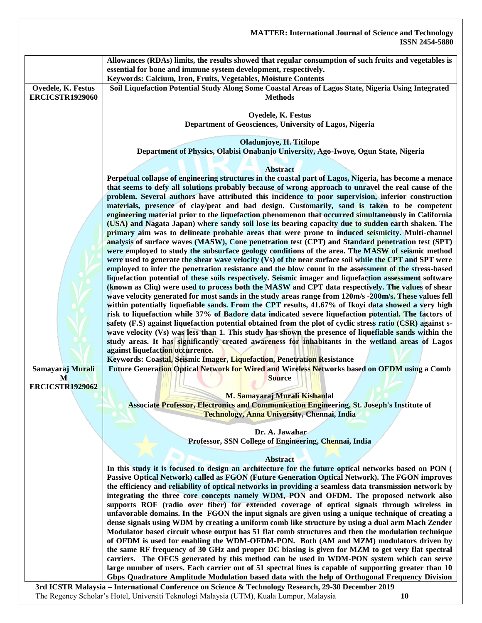|                                              | <b>MATTER: International Journal of Science and Technology</b><br><b>ISSN 2454-5880</b>                                                                                                                                                                                                                                                                                                                             |
|----------------------------------------------|---------------------------------------------------------------------------------------------------------------------------------------------------------------------------------------------------------------------------------------------------------------------------------------------------------------------------------------------------------------------------------------------------------------------|
|                                              | Allowances (RDAs) limits, the results showed that regular consumption of such fruits and vegetables is<br>essential for bone and immune system development, respectively.<br>Keywords: Calcium, Iron, Fruits, Vegetables, Moisture Contents                                                                                                                                                                         |
| Oyedele, K. Festus<br><b>ERCICSTR1929060</b> | Soil Liquefaction Potential Study Along Some Coastal Areas of Lagos State, Nigeria Using Integrated<br><b>Methods</b>                                                                                                                                                                                                                                                                                               |
|                                              | Oyedele, K. Festus<br>Department of Geosciences, University of Lagos, Nigeria                                                                                                                                                                                                                                                                                                                                       |
|                                              | Oladunjoye, H. Titilope<br>Department of Physics, Olabisi Onabanjo University, Ago-Iwoye, Ogun State, Nigeria                                                                                                                                                                                                                                                                                                       |
|                                              | <b>Abstract</b><br>Perpetual collapse of engineering structures in the coastal part of Lagos, Nigeria, has become a menace                                                                                                                                                                                                                                                                                          |
|                                              | that seems to defy all solutions probably because of wrong approach to unravel the real cause of the<br>problem. Several authors have attributed this incidence to poor supervision, inferior construction<br>materials, presence of clay/peat and bad design. Customarily, sand is taken to be competent                                                                                                           |
|                                              | engineering material prior to the liquefaction phenomenon that occurred simultaneously in California<br>(USA) and Nagata Japan) where sandy soil lose its bearing capacity due to sudden earth shaken. The<br>primary aim was to delineate probable areas that were prone to induced seismicity. Multi-channel<br>analysis of surface waves (MASW), Cone penetration test (CPT) and Standard penetration test (SPT) |
|                                              | were employed to study the subsurface geology conditions of the area. The MASW of seismic method<br>were used to generate the shear wave velocity (Vs) of the near surface soil while the CPT and SPT were<br>employed to infer the penetration resistance and the blow count in the assessment of the stress-based                                                                                                 |
|                                              | liquefaction potential of these soils respectively. Seismic imager and liquefaction assessment software<br>(known as Cliq) were used to process both the MASW and CPT data respectively. The values of shear<br>wave velocity generated for most sands in the study areas range from 120m/s -200m/s. These values fell                                                                                              |
|                                              | within potentially liquefiable sands. From the CPT results, 41.67% of Ikoyi data showed a very high<br>risk to liquefaction while 37% of Badore data indicated severe liquefaction potential. The factors of<br>safety (F.S) against liquefaction potential obtained from the plot of cyclic stress ratio (CSR) against s-                                                                                          |
|                                              | wave velocity (Vs) was less than 1. This study has shown the presence of liquefiable sands within the<br>study areas. It has significantly created awareness for inhabitants in the wetland areas of Lagos<br>against liquefaction occurrence.                                                                                                                                                                      |
| Samayaraj Murali<br>M                        | Keywords: Coastal, Seismic Imager, Liquefaction, Penetration Resistance<br>Future Generation Optical Network for Wired and Wireless Networks based on OFDM using a Comb<br><b>Source</b>                                                                                                                                                                                                                            |
| <b>ERCICSTR1929062</b>                       | M. Samayaraj Murali Kishanlal<br><b>Associate Professor, Electronics and Communication Engineering, St. Joseph's Institute of</b>                                                                                                                                                                                                                                                                                   |
|                                              | <b>Technology, Anna University, Chennai, India</b>                                                                                                                                                                                                                                                                                                                                                                  |
|                                              | Dr. A. Jawahar<br>Professor, SSN College of Engineering, Chennai, India                                                                                                                                                                                                                                                                                                                                             |
|                                              | <b>Abstract</b><br>In this study it is focused to design an architecture for the future optical networks based on PON (                                                                                                                                                                                                                                                                                             |
|                                              | Passive Optical Network) called as FGON (Future Generation Optical Network). The FGON improves<br>the efficiency and reliability of optical networks in providing a seamless data transmission network by<br>integrating the three core concepts namely WDM, PON and OFDM. The proposed network also                                                                                                                |
|                                              | supports ROF (radio over fiber) for extended coverage of optical signals through wireless in<br>unfavorable domains. In the FGON the input signals are given using a unique technique of creating a<br>dense signals using WDM by creating a uniform comb like structure by using a dual arm Mach Zender                                                                                                            |
|                                              | Modulator based circuit whose output has 51 flat comb structures and then the modulation technique<br>of OFDM is used for enabling the WDM-OFDM-PON. Both (AM and MZM) modulators driven by<br>the same RF frequency of 30 GHz and proper DC biasing is given for MZM to get very flat spectral                                                                                                                     |
|                                              | carriers. The OFCS generated by this method can be used in WDM-PON system which can serve<br>large number of users. Each carrier out of 51 spectral lines is capable of supporting greater than 10<br>Gbps Quadrature Amplitude Modulation based data with the help of Orthogonal Frequency Division                                                                                                                |
|                                              | 3rd ICSTR Malaysia - International Conference on Science & Technology Research, 29-30 December 2019                                                                                                                                                                                                                                                                                                                 |

The Regency Scholar's Hotel, Universiti Teknologi Malaysia (UTM), Kuala Lumpur, Malaysia **10**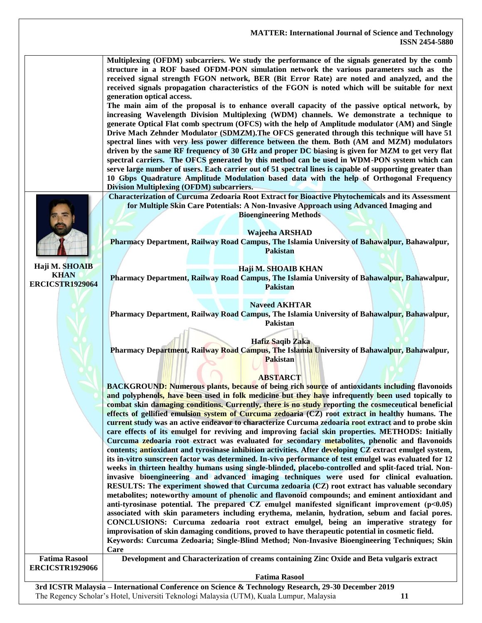**Multiplexing (OFDM) subcarriers. We study the performance of the signals generated by the comb structure in a ROF based OFDM-PON simulation network the various parameters such as the received signal strength FGON network, BER (Bit Error Rate) are noted and analyzed, and the received signals propagation characteristics of the FGON is noted which will be suitable for next generation optical access.**

**The main aim of the proposal is to enhance overall capacity of the passive optical network, by increasing Wavelength Division Multiplexing (WDM) channels. We demonstrate a technique to generate Optical Flat comb spectrum (OFCS) with the help of Amplitude modulator (AM) and Single Drive Mach Zehnder Modulator (SDMZM).The OFCS generated through this technique will have 51 spectral lines with very less power difference between the them. Both (AM and MZM) modulators driven by the same RF frequency of 30 GHz and proper DC biasing is given for MZM to get very flat spectral carriers. The OFCS generated by this method can be used in WDM-PON system which can serve large number of users. Each carrier out of 51 spectral lines is capable of supporting greater than 10 Gbps Quadrature Amplitude Modulation based data with the help of Orthogonal Frequency Division Multiplexing (OFDM) subcarriers.**

**Haji M. SHOAIB KHAN ERCICSTR1929064**

**Characterization of Curcuma Zedoaria Root Extract for Bioactive Phytochemicals and its Assessment for Multiple Skin Care Potentials: A Non-Invasive Approach using Advanced Imaging and Bioengineering Methods**

**Wajeeha ARSHAD**

**Pharmacy Department, Railway Road Campus, The Islamia University of Bahawalpur, Bahawalpur, Pakistan**

#### **Haji M. SHOAIB KHAN**

**Pharmacy Department, Railway Road Campus, The Islamia University of Bahawalpur, Bahawalpur, Pakistan**

#### **Naveed AKHTAR**

**Pharmacy Department, Railway Road Campus, The Islamia University of Bahawalpur, Bahawalpur, Pakistan**

**Hafiz Saqib Zaka**

**Pharmacy Department, Railway Road Campus, The Islamia University of Bahawalpur, Bahawalpur, Pakistan**

#### **ABSTARCT**

**BACKGROUND: Numerous plants, because of being rich source of antioxidants including flavonoids and polyphenols, have been used in folk medicine but they have infrequently been used topically to combat skin damaging conditions. Currently, there is no study reporting the cosmeceutical beneficial effects of gellified emulsion system of Curcuma zedoaria (CZ) root extract in healthy humans. The current study was an active endeavor to characterize Curcuma zedoaria root extract and to probe skin care effects of its emulgel for reviving and improving facial skin properties. METHODS: Initially Curcuma zedoaria root extract was evaluated for secondary metabolites, phenolic and flavonoids contents; antioxidant and tyrosinase inhibition activities. After developing CZ extract emulgel system, its in-vitro sunscreen factor was determined. In-vivo performance of test emulgel was evaluated for 12 weeks in thirteen healthy humans using single-blinded, placebo-controlled and split-faced trial. Noninvasive bioengineering and advanced imaging techniques were used for clinical evaluation. RESULTS: The experiment showed that Curcuma zedoaria (CZ) root extract has valuable secondary metabolites; noteworthy amount of phenolic and flavonoid compounds; and eminent antioxidant and anti-tyrosinase potential. The prepared CZ emulgel manifested significant improvement (p˂0.05) associated with skin parameters including erythema, melanin, hydration, sebum and facial pores. CONCLUSIONS: Curcuma zedoaria root extract emulgel, being an imperative strategy for improvisation of skin damaging conditions, proved to have therapeutic potential in cosmetic field. Keywords: Curcuma Zedoaria; Single-Blind Method; Non-Invasive Bioengineering Techniques; Skin Care Fatima Rasool ERCICSTR1929066 Development and Characterization of creams containing Zinc Oxide and Beta vulgaris extract**

**Fatima Rasool**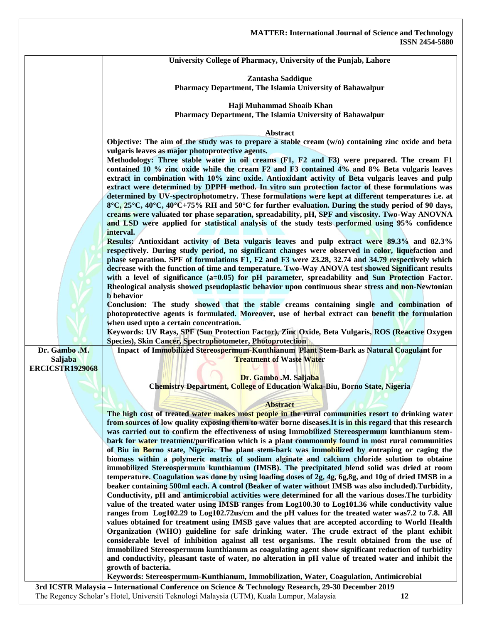| University College of Pharmacy, University of the Punjab, Lahore |
|------------------------------------------------------------------|
|                                                                  |

**Zantasha Saddique Pharmacy Department, The Islamia University of Bahawalpur**

**Haji Muhammad Shoaib Khan**

**Pharmacy Department, The Islamia University of Bahawalpur**

#### **Abstract**

**Objective: The aim of the study was to prepare a stable cream (w/o) containing zinc oxide and beta vulgaris leaves as major photoprotective agents.**

**Methodology: Three stable water in oil creams (F1, F2 and F3) were prepared. The cream F1 contained 10 % zinc oxide while the cream F2 and F3 contained 4% and 8% Beta vulgaris leaves extract in combination with 10% zinc oxide. Antioxidant activity of Beta vulgaris leaves and pulp extract were determined by DPPH method. In vitro sun protection factor of these formulations was determined by UV-spectrophotometry. These formulations were kept at different temperatures i.e. at 8°C, 25°C, 40°C, 40°C+75% RH and 50°C for further evaluation. During the study period of 90 days, creams were valuated tor phase separation, spreadability, pH, SPF and viscosity. Two-Way ANOVNA and LSD were applied for statistical analysis of the study tests performed using 95% confidence interval.**

**Results: Antioxidant activity of Beta vulgaris leaves and pulp extract were 89.3% and 82.3% respectively. During study period, no significant changes were observed in color, liquefaction and phase separation. SPF of formulations F1, F2 and F3 were 23.28, 32.74 and 34.79 respectively which decrease with the function of time and temperature. Two-Way ANOVA test showed Significant results**  with a level of significance (a=0.05) for pH parameter, spreadability and Sun Protection Factor. **Rheological analysis showed pseudoplastic behavior upon continuous shear stress and non-Newtonian b behavior**

**Conclusion: The study showed that the stable creams containing single and combination of photoprotective agents is formulated. Moreover, use of herbal extract can benefit the formulation when used upto a certain concentration.** 

**Keywords: UV Rays, SPF (Sun Protection Factor), Zinc Oxide, Beta Vulgaris, ROS (Reactive Oxygen Species), Skin Cancer, Spectrophotometer, Photoprotection**

**Dr. Gambo .M. Saljaba ERCICSTR1929068**

**Inpact of Immobilized Stereospermum-Kunthianum Plant Stem-Bark as Natural Coagulant for Treatment of Waste Water**

#### **Dr. Gambo .M. Saljaba**

**Chemistry Department, College of Education Waka-Biu, Borno State, Nigeria**

#### **Abstract**

**The high cost of treated water makes most people in the rural communities resort to drinking water from sources of low quality exposing them to water borne diseases.It is in this regard that this research was carried out to confirm the effectiveness of using Immobilized Stereospermum kunthianum stem**bark for water treatment/purification which is a plant commonmly found in most rural communities **of Biu in Borno state, Nigeria. The plant stem-bark was immobilized by entraping or caging the biomass within a polymeric matrix of sodium alginate and calcium chloride solution to obtaine immobilized Stereospermum kunthianum (IMSB). The precipitated blend solid was dried at room temperature. Coagulation was done by using loading doses of 2g, 4g, 6g,8g, and 10g of dried IMSB in a beaker containing 500ml each. A control (Beaker of water without IMSB was also included).Turbidity, Conductivity, pH and antimicrobial activities were determined for all the various doses.The turbidity value of the treated water using IMSB ranges from Log100.30 to Log101.36 while conductivity value ranges from Log102.29 to Log102.72us/cm and the pH values for the treated water was7.2 to 7.8. All values obtained for treatment using IMSB gave values that are accepted according to World Health Organization (WHO) guideline for safe drinking water. The crude extract of the plant exhibit considerable level of inhibition against all test organisms. The result obtained from the use of immobilized Stereospermum kunthianum as coagulating agent show significant reduction of turbidity and conductivity, pleasant taste of water, no alteration in pH value of treated water and inhibit the growth of bacteria.**

**Keywords: Stereospermum-Kunthianum, Immobilization, Water, Coagulation, Antimicrobial**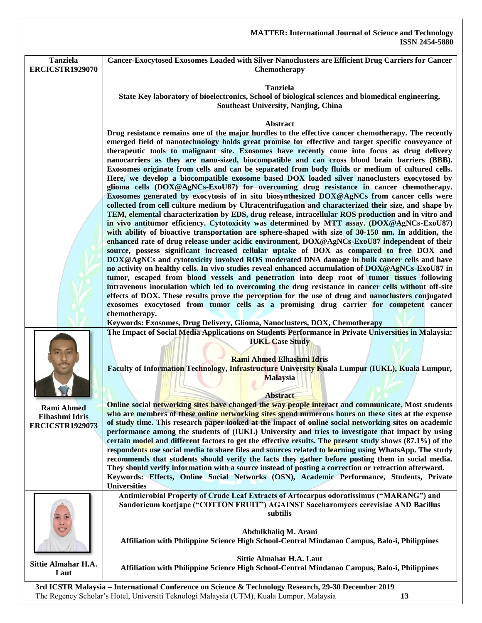|                                                               | <b>MATTER: International Journal of Science and Technology</b><br><b>ISSN 2454-5880</b>                                                                                                                                                                                                                                                                                                                                                                                                                                                                                                                                                                                                                                                                                                                                                                                                                                                                                                                                                                                                                                                                                                                                                                                                                                                                                                                                                                                                                                                                                                                                                                                                                                                                                                                                                                                                                                                                                                                                                                                                                                                     |
|---------------------------------------------------------------|---------------------------------------------------------------------------------------------------------------------------------------------------------------------------------------------------------------------------------------------------------------------------------------------------------------------------------------------------------------------------------------------------------------------------------------------------------------------------------------------------------------------------------------------------------------------------------------------------------------------------------------------------------------------------------------------------------------------------------------------------------------------------------------------------------------------------------------------------------------------------------------------------------------------------------------------------------------------------------------------------------------------------------------------------------------------------------------------------------------------------------------------------------------------------------------------------------------------------------------------------------------------------------------------------------------------------------------------------------------------------------------------------------------------------------------------------------------------------------------------------------------------------------------------------------------------------------------------------------------------------------------------------------------------------------------------------------------------------------------------------------------------------------------------------------------------------------------------------------------------------------------------------------------------------------------------------------------------------------------------------------------------------------------------------------------------------------------------------------------------------------------------|
| <b>Tanziela</b><br><b>ERCICSTR1929070</b>                     | Cancer-Exocytosed Exosomes Loaded with Silver Nanoclusters are Efficient Drug Carriers for Cancer<br>Chemotherapy                                                                                                                                                                                                                                                                                                                                                                                                                                                                                                                                                                                                                                                                                                                                                                                                                                                                                                                                                                                                                                                                                                                                                                                                                                                                                                                                                                                                                                                                                                                                                                                                                                                                                                                                                                                                                                                                                                                                                                                                                           |
|                                                               | <b>Tanziela</b><br>State Key laboratory of bioelectronics, School of biological sciences and biomedical engineering,<br>Southeast University, Nanjing, China                                                                                                                                                                                                                                                                                                                                                                                                                                                                                                                                                                                                                                                                                                                                                                                                                                                                                                                                                                                                                                                                                                                                                                                                                                                                                                                                                                                                                                                                                                                                                                                                                                                                                                                                                                                                                                                                                                                                                                                |
|                                                               | Abstract<br>Drug resistance remains one of the major hurdles to the effective cancer chemotherapy. The recently<br>emerged field of nanotechnology holds great promise for effective and target specific conveyance of<br>therapeutic tools to malignant site. Exosomes have recently come into focus as drug delivery<br>nanocarriers as they are nano-sized, biocompatible and can cross blood brain barriers (BBB).<br>Exosomes originate from cells and can be separated from body fluids or medium of cultured cells.<br>Here, we develop a biocompatible exosome based DOX loaded silver nanoclusters exocytosed by<br>glioma cells (DOX@AgNCs-ExoU87) for overcoming drug resistance in cancer chemotherapy.<br>Exosomes generated by exocytosis of in situ biosynthesized DOX@AgNCs from cancer cells were<br>collected from cell culture medium by Ultracentrifugation and characterized their size, and shape by<br>TEM, elemental characterization by EDS, drug release, intracellular ROS production and in vitro and<br>in vivo antitumor efficiency. Cytotoxicity was determined by MTT assay. (DOX@AgNCs-ExoU87)<br>with ability of bioactive transportation are sphere-shaped with size of 30-150 nm. In addition, the<br>enhanced rate of drug release under acidic environment, DOX@AgNCs-ExoU87 independent of their<br>source, possess significant increased cellular uptake of DOX as compared to free DOX and<br>DOX@AgNCs and cytotoxicity involved ROS moderated DNA damage in bulk cancer cells and have<br>no activity on healthy cells. In vivo studies reveal enhanced accumulation of DOX@AgNCs-ExoU87 in<br>tumor, escaped from blood vessels and penetration into deep root of tumor tissues following<br>intravenous inoculation which led to overcoming the drug resistance in cancer cells without off-site<br>effects of DOX. These results prove the perception for the use of drug and nanoclusters conjugated<br>exosomes exocytosed from tumor cells as a promising drug carrier for competent cancer<br>chemotherapy.<br>Keywords: Exosomes, Drug Delivery, Glioma, Nanoclusters, DOX, Chemotherapy |
|                                                               | The Impact of Social Media Applications on Students Performance in Private Universities in Malaysia:<br><b>IUKL Case Study</b><br><b>Rami Ahmed Elhashmi Idris</b><br>Faculty of Information Technology, Infrastructure University Kuala Lumpur (IUKL), Kuala Lumpur,<br><b>Malaysia</b><br><b>Abstract</b>                                                                                                                                                                                                                                                                                                                                                                                                                                                                                                                                                                                                                                                                                                                                                                                                                                                                                                                                                                                                                                                                                                                                                                                                                                                                                                                                                                                                                                                                                                                                                                                                                                                                                                                                                                                                                                 |
| <b>Rami Ahmed</b><br>Elhashmi Idris<br><b>ERCICSTR1929073</b> | Online social networking sites have changed the way people interact and communicate. Most students<br>who are members of these online networking sites spend numerous hours on these sites at the expense<br>of study time. This research paper looked at the impact of online social networking sites on academic<br>performance among the students of (IUKL) University and tries to investigate that impact by using<br>certain model and different factors to get the effective results. The present study shows (87.1%) of the<br>respondents use social media to share files and sources related to learning using WhatsApp. The study<br>recommends that students should verify the facts they gather before posting them in social media.<br>They should verify information with a source instead of posting a correction or retraction afterward.<br>Keywords: Effects, Online Social Networks (OSN), Academic Performance, Students, Private<br><b>Universities</b>                                                                                                                                                                                                                                                                                                                                                                                                                                                                                                                                                                                                                                                                                                                                                                                                                                                                                                                                                                                                                                                                                                                                                               |
|                                                               | Antimicrobial Property of Crude Leaf Extracts of Artocarpus odoratissimus ("MARANG") and<br>Sandoricum koetjape ("COTTON FRUIT") AGAINST Saccharomyces cerevisiae AND Bacillus<br>subtilis<br>Abdulkhaliq M. Arani<br>Affiliation with Philippine Science High School-Central Mindanao Campus, Balo-i, Philippines                                                                                                                                                                                                                                                                                                                                                                                                                                                                                                                                                                                                                                                                                                                                                                                                                                                                                                                                                                                                                                                                                                                                                                                                                                                                                                                                                                                                                                                                                                                                                                                                                                                                                                                                                                                                                          |
| Sittie Almahar H.A.<br>Laut                                   | <b>Sittie Almahar H.A. Laut</b><br>Affiliation with Philippine Science High School-Central Mindanao Campus, Balo-i, Philippines<br>3rd ICSTD Molovcio International Centerence on Science & Technology Decearch 20 30 December 2010                                                                                                                                                                                                                                                                                                                                                                                                                                                                                                                                                                                                                                                                                                                                                                                                                                                                                                                                                                                                                                                                                                                                                                                                                                                                                                                                                                                                                                                                                                                                                                                                                                                                                                                                                                                                                                                                                                         |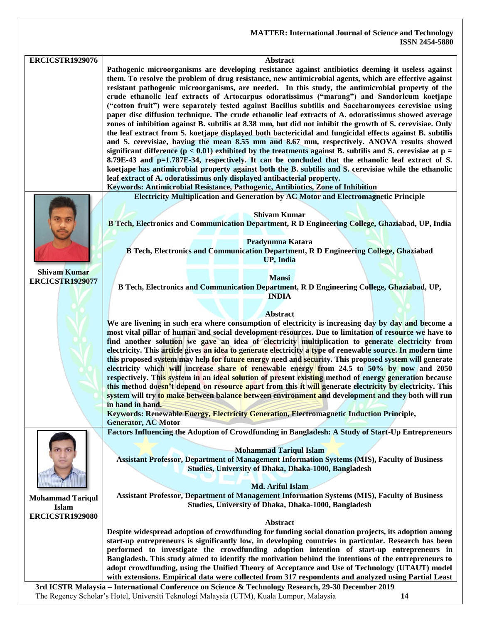| <b>ERCICSTR1929076</b>  | Abstract                                                                                                                                                                                              |
|-------------------------|-------------------------------------------------------------------------------------------------------------------------------------------------------------------------------------------------------|
|                         | Pathogenic microorganisms are developing resistance against antibiotics deeming it useless against                                                                                                    |
|                         |                                                                                                                                                                                                       |
|                         | them. To resolve the problem of drug resistance, new antimicrobial agents, which are effective against                                                                                                |
|                         | resistant pathogenic microorganisms, are needed. In this study, the antimicrobial property of the                                                                                                     |
|                         | crude ethanolic leaf extracts of Artocarpus odoratissimus ("marang") and Sandoricum koetjape                                                                                                          |
|                         | ("cotton fruit") were separately tested against Bacillus subtilis and Saccharomyces cerevisiae using                                                                                                  |
|                         |                                                                                                                                                                                                       |
|                         | paper disc diffusion technique. The crude ethanolic leaf extracts of A. odoratissimus showed average                                                                                                  |
|                         | zones of inhibition against B. subtilis at 8.38 mm, but did not inhibit the growth of S. cerevisiae. Only                                                                                             |
|                         | the leaf extract from S. koetjape displayed both bactericidal and fungicidal effects against B. subtilis                                                                                              |
|                         | and S. cerevisiae, having the mean 8.55 mm and 8.67 mm, respectively. ANOVA results showed                                                                                                            |
|                         |                                                                                                                                                                                                       |
|                         | significant difference ( $p < 0.01$ ) exhibited by the treatments against B. subtilis and S. cerevisiae at $p =$                                                                                      |
|                         | 8.79E-43 and p=1.787E-34, respectively. It can be concluded that the ethanolic leaf extract of S.                                                                                                     |
|                         | koetjape has antimicrobial property against both the B. subtilis and S. cerevisiae while the ethanolic                                                                                                |
|                         | leaf extract of A. odoratissimus only displayed antibacterial property.                                                                                                                               |
|                         | Keywords: Antimicrobial Resistance, Pathogenic, Antibiotics, Zone of Inhibition                                                                                                                       |
|                         |                                                                                                                                                                                                       |
|                         | Electricity Multiplication and Generation by AC Motor and Electromagnetic Principle                                                                                                                   |
|                         |                                                                                                                                                                                                       |
|                         | <b>Shivam Kumar</b>                                                                                                                                                                                   |
|                         | B Tech, Electronics and Communication Department, R D Engineering College, Ghaziabad, UP, India                                                                                                       |
|                         |                                                                                                                                                                                                       |
|                         |                                                                                                                                                                                                       |
|                         | Pradyumna Katara                                                                                                                                                                                      |
|                         | <b>B Tech, Electronics and Communication Department, R D Engineering College, Ghaziabad</b>                                                                                                           |
|                         | <b>UP, India</b>                                                                                                                                                                                      |
|                         |                                                                                                                                                                                                       |
| <b>Shivam Kumar</b>     |                                                                                                                                                                                                       |
| <b>ERCICSTR1929077</b>  | <b>Mansi</b>                                                                                                                                                                                          |
|                         | B Tech, Electronics and Communication Department, R D Engineering College, Ghaziabad, UP,                                                                                                             |
|                         | <b>INDIA</b>                                                                                                                                                                                          |
|                         |                                                                                                                                                                                                       |
|                         | <b>Abstract</b>                                                                                                                                                                                       |
|                         |                                                                                                                                                                                                       |
|                         | We are livening in such era where consumption of electricity is increasing day by day and become a                                                                                                    |
|                         | most vital pillar of human and social development resources. Due to limitation of resource we have to                                                                                                 |
|                         | find another solution we gave an idea of electricity multiplication to generate electricity from                                                                                                      |
|                         | electricity. This article gives an idea to generate electricity a type of renewable source. In modern time                                                                                            |
|                         | this proposed system may help for future energy need and security. This proposed system will generate                                                                                                 |
|                         |                                                                                                                                                                                                       |
|                         | electricity which will increase share of renewable energy from 24.5 to 50% by now and 2050                                                                                                            |
|                         | respectively. This system in an ideal solution of present existing method of energy generation because                                                                                                |
|                         | this method doesn't depend on resource apart from this it will generate electricity by electricity. This                                                                                              |
|                         | system will try to make between balance between environment and development and they both will run                                                                                                    |
|                         | in hand in hand.                                                                                                                                                                                      |
|                         |                                                                                                                                                                                                       |
|                         | Keywords: Renewable Energy, Electricity Generation, Electromagnetic Induction Principle,                                                                                                              |
|                         | <b>Generator, AC Motor</b>                                                                                                                                                                            |
|                         | Factors Influencing the Adoption of Crowdfunding in Bangladesh: A Study of Start-Up Entrepreneurs                                                                                                     |
|                         |                                                                                                                                                                                                       |
|                         | <b>Mohammad Tariqul Islam</b>                                                                                                                                                                         |
|                         |                                                                                                                                                                                                       |
|                         | <b>Assistant Professor, Department of Management Information Systems (MIS), Faculty of Business</b>                                                                                                   |
|                         | <b>Studies, University of Dhaka, Dhaka-1000, Bangladesh</b>                                                                                                                                           |
|                         |                                                                                                                                                                                                       |
|                         | <b>Md. Ariful Islam</b>                                                                                                                                                                               |
|                         | <b>Assistant Professor, Department of Management Information Systems (MIS), Faculty of Business</b>                                                                                                   |
| <b>Mohammad Tariqul</b> |                                                                                                                                                                                                       |
| Islam                   | <b>Studies, University of Dhaka, Dhaka-1000, Bangladesh</b>                                                                                                                                           |
| <b>ERCICSTR1929080</b>  |                                                                                                                                                                                                       |
|                         | Abstract                                                                                                                                                                                              |
|                         | Despite widespread adoption of crowdfunding for funding social donation projects, its adoption among                                                                                                  |
|                         | start-up entrepreneurs is significantly low, in developing countries in particular. Research has been                                                                                                 |
|                         |                                                                                                                                                                                                       |
|                         | performed to investigate the crowdfunding adoption intention of start-up entrepreneurs in                                                                                                             |
|                         | Bangladesh. This study aimed to identify the motivation behind the intentions of the entrepreneurs to                                                                                                 |
|                         | adopt crowdfunding, using the Unified Theory of Acceptance and Use of Technology (UTAUT) model                                                                                                        |
|                         | with extensions. Empirical data were collected from 317 respondents and analyzed using Partial Least                                                                                                  |
|                         |                                                                                                                                                                                                       |
|                         |                                                                                                                                                                                                       |
|                         | 3rd ICSTR Malaysia - International Conference on Science & Technology Research, 29-30 December 2019<br>The Regency Scholar's Hotel, Universiti Teknologi Malaysia (UTM), Kuala Lumpur, Malaysia<br>14 |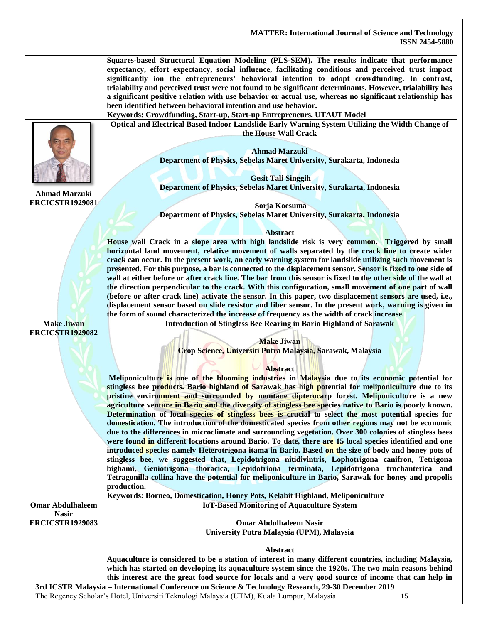|                                                | <b>MATTER: International Journal of Science and Technology</b>                                                                                                                                                                                                                                                                                                                                                                                                                                                                                                                                                                                                                                                                                                                                                                                                                                                                                                                                                                                                                                                                                                                                                                                                                                                                                                                                                                                                           |
|------------------------------------------------|--------------------------------------------------------------------------------------------------------------------------------------------------------------------------------------------------------------------------------------------------------------------------------------------------------------------------------------------------------------------------------------------------------------------------------------------------------------------------------------------------------------------------------------------------------------------------------------------------------------------------------------------------------------------------------------------------------------------------------------------------------------------------------------------------------------------------------------------------------------------------------------------------------------------------------------------------------------------------------------------------------------------------------------------------------------------------------------------------------------------------------------------------------------------------------------------------------------------------------------------------------------------------------------------------------------------------------------------------------------------------------------------------------------------------------------------------------------------------|
|                                                | <b>ISSN 2454-5880</b>                                                                                                                                                                                                                                                                                                                                                                                                                                                                                                                                                                                                                                                                                                                                                                                                                                                                                                                                                                                                                                                                                                                                                                                                                                                                                                                                                                                                                                                    |
|                                                | Squares-based Structural Equation Modeling (PLS-SEM). The results indicate that performance<br>expectancy, effort expectancy, social influence, facilitating conditions and perceived trust impact<br>significantly ion the entrepreneurs' behavioral intention to adopt crowdfunding. In contrast,<br>trialability and perceived trust were not found to be significant determinants. However, trialability has<br>a significant positive relation with use behavior or actual use, whereas no significant relationship has<br>been identified between behavioral intention and use behavior.                                                                                                                                                                                                                                                                                                                                                                                                                                                                                                                                                                                                                                                                                                                                                                                                                                                                           |
|                                                | Keywords: Crowdfunding, Start-up, Start-up Entrepreneurs, UTAUT Model                                                                                                                                                                                                                                                                                                                                                                                                                                                                                                                                                                                                                                                                                                                                                                                                                                                                                                                                                                                                                                                                                                                                                                                                                                                                                                                                                                                                    |
| <b>Ahmad Marzuki</b><br><b>ERCICSTR1929081</b> | Optical and Electrical Based Indoor Landslide Early Warning System Utilizing the Width Change of<br>the House Wall Crack<br><b>Ahmad Marzuki</b><br>Department of Physics, Sebelas Maret University, Surakarta, Indonesia<br><b>Gesit Tali Singgih</b><br>Department of Physics, Sebelas Maret University, Surakarta, Indonesia<br>Sorja Koesuma<br>Department of Physics, Sebelas Maret University, Surakarta, Indonesia<br><b>Abstract</b><br>House wall Crack in a slope area with high landslide risk is very common. Triggered by small<br>horizontal land movement, relative movement of walls separated by the crack line to create wider<br>crack can occur. In the present work, an early warning system for landslide utilizing such movement is                                                                                                                                                                                                                                                                                                                                                                                                                                                                                                                                                                                                                                                                                                               |
|                                                | presented. For this purpose, a bar is connected to the displacement sensor. Sensor is fixed to one side of<br>wall at either before or after crack line. The bar from this sensor is fixed to the other side of the wall at<br>the direction perpendicular to the crack. With this configuration, small movement of one part of wall<br>(before or after crack line) activate the sensor. In this paper, two displacement sensors are used, i.e.,<br>displacement sensor based on slide resistor and fiber sensor. In the present work, warning is given in<br>the form of sound characterized the increase of frequency as the width of crack increase.                                                                                                                                                                                                                                                                                                                                                                                                                                                                                                                                                                                                                                                                                                                                                                                                                 |
| <b>Make Jiwan</b>                              | <b>Introduction of Stingless Bee Rearing in Bario Highland of Sarawak</b>                                                                                                                                                                                                                                                                                                                                                                                                                                                                                                                                                                                                                                                                                                                                                                                                                                                                                                                                                                                                                                                                                                                                                                                                                                                                                                                                                                                                |
| <b>ERCICSTR1929082</b>                         | <b>Make Jiwan</b><br>Crop Science, Universiti Putra Malaysia, Sarawak, Malaysia<br><b>Abstract</b><br>Meliponiculture is one of the blooming industries in Malaysia due to its economic potential for<br>stingless bee products. Bario highland of Sarawak has high potential for meliponiculture due to its<br>pristine environment and surrounded by montane dipterocarp forest. Meliponiculture is a new<br>agriculture venture in Bario and the diversity of stingless bee species native to Bario is poorly known.<br>Determination of local species of stingless bees is crucial to select the most potential species for<br>domestication. The introduction of the domesticated species from other regions may not be economic<br>due to the differences in microclimate and surrounding vegetation. Over 300 colonies of stingless bees<br>were found in different locations around Bario. To date, there are 15 local species identified and one<br>introduced species namely Heterotrigona itama in Bario. Based on the size of body and honey pots of<br>stingless bee, we suggested that, Lepidotrigona nitidivintris, Lophotrigona canifron, Tetrigona<br>bighami, Geniotrigona thoracica, Lepidotriona terminata, Lepidotrigona trochanterica and<br>Tetragonilla collina have the potential for meliponiculture in Bario, Sarawak for honey and propolis<br>production.<br>Keywords: Borneo, Domestication, Honey Pots, Kelabit Highland, Meliponiculture |
| <b>Omar Abdulhaleem</b>                        | <b>IoT-Based Monitoring of Aquaculture System</b>                                                                                                                                                                                                                                                                                                                                                                                                                                                                                                                                                                                                                                                                                                                                                                                                                                                                                                                                                                                                                                                                                                                                                                                                                                                                                                                                                                                                                        |
| <b>Nasir</b><br><b>ERCICSTR1929083</b>         | <b>Omar Abdulhaleem Nasir</b><br>University Putra Malaysia (UPM), Malaysia                                                                                                                                                                                                                                                                                                                                                                                                                                                                                                                                                                                                                                                                                                                                                                                                                                                                                                                                                                                                                                                                                                                                                                                                                                                                                                                                                                                               |
|                                                | Abstract                                                                                                                                                                                                                                                                                                                                                                                                                                                                                                                                                                                                                                                                                                                                                                                                                                                                                                                                                                                                                                                                                                                                                                                                                                                                                                                                                                                                                                                                 |
|                                                | Aquaculture is considered to be a station of interest in many different countries, including Malaysia,<br>which has started on developing its aquaculture system since the 1920s. The two main reasons behind<br>this interest are the great food source for locals and a very good source of income that can help in                                                                                                                                                                                                                                                                                                                                                                                                                                                                                                                                                                                                                                                                                                                                                                                                                                                                                                                                                                                                                                                                                                                                                    |
|                                                | 3rd ICSTR Malaysia - International Conference on Science & Technology Research, 29-30 December 2019                                                                                                                                                                                                                                                                                                                                                                                                                                                                                                                                                                                                                                                                                                                                                                                                                                                                                                                                                                                                                                                                                                                                                                                                                                                                                                                                                                      |

The Regency Scholar's Hotel, Universiti Teknologi Malaysia (UTM), Kuala Lumpur, Malaysia **15**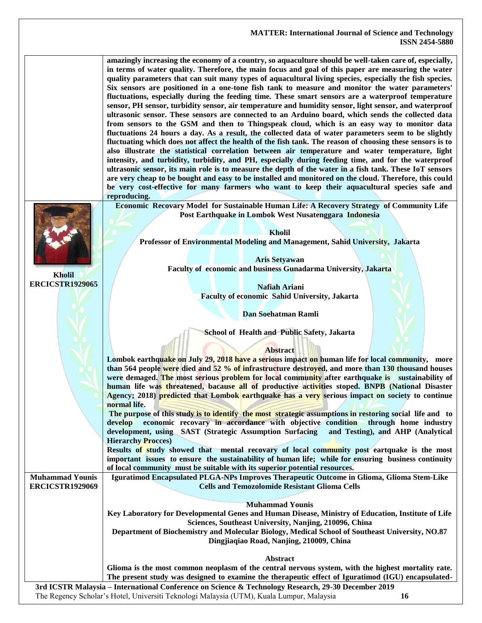#### **MATTER: International Journal of Science and Technology ISSN 2454-5880 3rd ICSTR Malaysia – International Conference on Science & Technology Research, 29-30 December 2019 amazingly increasing the economy of a country, so aquaculture should be well-taken care of, especially, in terms of water quality. Therefore, the main focus and goal of this paper are measuring the water quality parameters that can suit many types of aquacultural living species, especially the fish species. Six sensors are positioned in a one-tone fish tank to measure and monitor the water parameters' fluctuations, especially during the feeding time. These smart sensors are a waterproof temperature sensor, PH sensor, turbidity sensor, air temperature and humidity sensor, light sensor, and waterproof ultrasonic sensor. These sensors are connected to an Arduino board, which sends the collected data from sensors to the GSM and then to Thingspeak cloud, which is an easy way to monitor data fluctuations 24 hours a day. As a result, the collected data of water parameters seem to be slightly fluctuating which does not affect the health of the fish tank. The reason of choosing these sensors is to also illustrate the statistical correlation between air temperature and water temperature, light intensity, and turbidity, turbidity, and PH, especially during feeding time, and for the waterproof ultrasonic sensor, its main role is to measure the depth of the water in a fish tank. These IoT sensors are very cheap to be bought and easy to be installed and monitored on the cloud. Therefore, this could be very cost-effective for many farmers who want to keep their aquacultural species safe and reproducing. Kholil ERCICSTR1929065 Economic Recovary Model for Sustainable Human Life: A Recovery Strategy of Community Life Post Earthquake in Lombok West Nusatenggara Indonesia Kholil Professor of Environmental Modeling and Management, Sahid University, Jakarta Aris Setyawan Faculty of economic and business Gunadarma University, Jakarta Nafiah Ariani Faculty of economic Sahid University, Jakarta Dan Soehatman Ramli School of Health and Public Safety, Jakarta Abstract Lombok earthquake on July 29, 2018 have a serious impact on human life for local community, more than 564 people were died and 52 % of infrastructure destroyed, and more than 130 thousand houses were demaged. The most serious problem for local community after earthquake is sustainability of human life was threatened, bacause all of productive activities stoped. BNPB (National Disaster Agency; 2018) predicted that Lombok earthquake has a very serious impact on society to continue normal life. The purpose of this study is to identify the most strategic assumptions in restoring social life and to develop economic recovary in accordance with objective condition through home industry development, using SAST (Strategic Assumption Surfacing and Testing), and AHP (Analytical Hierarchy Procces) Results of study showed that mental recovary of local community post eartquake is the most important issues to ensure the sustainability of human life; while for ensuring business continuity of local community must be suitable with its superior potential resources. Muhammad Younis ERCICSTR1929069 Iguratimod Encapsulated PLGA-NPs Improves Therapeutic Outcome in Glioma, Glioma Stem-Like Cells and Temozolomide Resistant Glioma Cells Muhammad Younis Key Laboratory for Developmental Genes and Human Disease, Ministry of Education, Institute of Life Sciences, Southeast University, Nanjing, 210096, China Department of Biochemistry and Molecular Biology, Medical School of Southeast University, NO.87 Dingjiaqiao Road, Nanjing, 210009, China Abstract Glioma is the most common neoplasm of the central nervous system, with the highest mortality rate. The present study was designed to examine the therapeutic effect of Iguratimod (IGU) encapsulated-**

The Regency Scholar's Hotel, Universiti Teknologi Malaysia (UTM), Kuala Lumpur, Malaysia **16**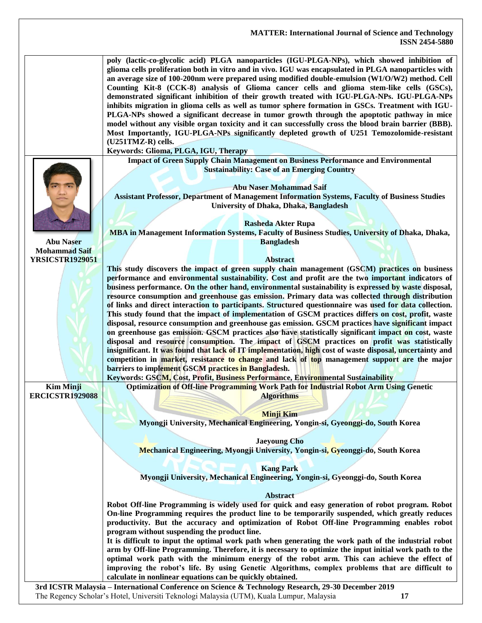|                        | poly (lactic-co-glycolic acid) PLGA nanoparticles (IGU-PLGA-NPs), which showed inhibition of<br>glioma cells proliferation both in vitro and in vivo. IGU was encapsulated in PLGA nanoparticles with<br>an average size of 100-200nm were prepared using modified double-emulsion (W1/O/W2) method. Cell<br>Counting Kit-8 (CCK-8) analysis of Glioma cancer cells and glioma stem-like cells (GSCs),<br>demonstrated significant inhibition of their growth treated with IGU-PLGA-NPs. IGU-PLGA-NPs<br>inhibits migration in glioma cells as well as tumor sphere formation in GSCs. Treatment with IGU-<br>PLGA-NPs showed a significant decrease in tumor growth through the apoptotic pathway in mice<br>model without any visible organ toxicity and it can successfully cross the blood brain barrier (BBB).<br>Most Importantly, IGU-PLGA-NPs significantly depleted growth of U251 Temozolomide-resistant<br>(U251TMZ-R) cells.<br>Keywords: Glioma, PLGA, IGU, Therapy                                                                                                                                                                                                                                                                                                               |
|------------------------|------------------------------------------------------------------------------------------------------------------------------------------------------------------------------------------------------------------------------------------------------------------------------------------------------------------------------------------------------------------------------------------------------------------------------------------------------------------------------------------------------------------------------------------------------------------------------------------------------------------------------------------------------------------------------------------------------------------------------------------------------------------------------------------------------------------------------------------------------------------------------------------------------------------------------------------------------------------------------------------------------------------------------------------------------------------------------------------------------------------------------------------------------------------------------------------------------------------------------------------------------------------------------------------------|
|                        | <b>Impact of Green Supply Chain Management on Business Performance and Environmental</b>                                                                                                                                                                                                                                                                                                                                                                                                                                                                                                                                                                                                                                                                                                                                                                                                                                                                                                                                                                                                                                                                                                                                                                                                       |
|                        | <b>Sustainability: Case of an Emerging Country</b><br><b>Abu Naser Mohammad Saif</b><br><b>Assistant Professor, Department of Management Information Systems, Faculty of Business Studies</b><br>University of Dhaka, Dhaka, Bangladesh<br><b>Rasheda Akter Rupa</b><br>MBA in Management Information Systems, Faculty of Business Studies, University of Dhaka, Dhaka,                                                                                                                                                                                                                                                                                                                                                                                                                                                                                                                                                                                                                                                                                                                                                                                                                                                                                                                        |
| <b>Abu Naser</b>       | <b>Bangladesh</b>                                                                                                                                                                                                                                                                                                                                                                                                                                                                                                                                                                                                                                                                                                                                                                                                                                                                                                                                                                                                                                                                                                                                                                                                                                                                              |
| <b>Mohammad Saif</b>   |                                                                                                                                                                                                                                                                                                                                                                                                                                                                                                                                                                                                                                                                                                                                                                                                                                                                                                                                                                                                                                                                                                                                                                                                                                                                                                |
| <b>YRSICSTR1929051</b> | <b>Abstract</b><br>This study discovers the impact of green supply chain management (GSCM) practices on business                                                                                                                                                                                                                                                                                                                                                                                                                                                                                                                                                                                                                                                                                                                                                                                                                                                                                                                                                                                                                                                                                                                                                                               |
| <b>Kim Minji</b>       | performance and environmental sustainability. Cost and profit are the two important indicators of<br>business performance. On the other hand, environmental sustainability is expressed by waste disposal,<br>resource consumption and greenhouse gas emission. Primary data was collected through distribution<br>of links and direct interaction to participants. Structured questionnaire was used for data collection.<br>This study found that the impact of implementation of GSCM practices differs on cost, profit, waste<br>disposal, resource consumption and greenhouse gas emission. GSCM practices have significant impact<br>on greenhouse gas emission. GSCM practices also have statistically significant impact on cost, waste<br>disposal and resource consumption. The impact of GSCM practices on profit was statistically<br>insignificant. It was found that lack of IT implementation, high cost of waste disposal, uncertainty and<br>competition in market, resistance to change and lack of top management support are the major<br>barriers to implement GSCM practices in Bangladesh.<br>Keywords: GSCM, Cost, Profit, Business Performance, Environmental Sustainability<br>Optimization of Off-line Programming Work Path for Industrial Robot Arm Using Genetic |
| <b>ERCICSTR1929088</b> | <b>Algorithms</b>                                                                                                                                                                                                                                                                                                                                                                                                                                                                                                                                                                                                                                                                                                                                                                                                                                                                                                                                                                                                                                                                                                                                                                                                                                                                              |
|                        |                                                                                                                                                                                                                                                                                                                                                                                                                                                                                                                                                                                                                                                                                                                                                                                                                                                                                                                                                                                                                                                                                                                                                                                                                                                                                                |
|                        | <b>Minji Kim</b>                                                                                                                                                                                                                                                                                                                                                                                                                                                                                                                                                                                                                                                                                                                                                                                                                                                                                                                                                                                                                                                                                                                                                                                                                                                                               |
|                        | Myongji University, Mechanical Engineering, Yongin-si, Gyeonggi-do, South Korea                                                                                                                                                                                                                                                                                                                                                                                                                                                                                                                                                                                                                                                                                                                                                                                                                                                                                                                                                                                                                                                                                                                                                                                                                |
|                        |                                                                                                                                                                                                                                                                                                                                                                                                                                                                                                                                                                                                                                                                                                                                                                                                                                                                                                                                                                                                                                                                                                                                                                                                                                                                                                |
|                        | <b>Jaeyoung Cho</b>                                                                                                                                                                                                                                                                                                                                                                                                                                                                                                                                                                                                                                                                                                                                                                                                                                                                                                                                                                                                                                                                                                                                                                                                                                                                            |
|                        | Mechanical Engineering, Myongji University, Yongin-si, Gyeonggi-do, South Korea                                                                                                                                                                                                                                                                                                                                                                                                                                                                                                                                                                                                                                                                                                                                                                                                                                                                                                                                                                                                                                                                                                                                                                                                                |
|                        | <b>Kang Park</b>                                                                                                                                                                                                                                                                                                                                                                                                                                                                                                                                                                                                                                                                                                                                                                                                                                                                                                                                                                                                                                                                                                                                                                                                                                                                               |
|                        | Myongji University, Mechanical Engineering, Yongin-si, Gyeonggi-do, South Korea                                                                                                                                                                                                                                                                                                                                                                                                                                                                                                                                                                                                                                                                                                                                                                                                                                                                                                                                                                                                                                                                                                                                                                                                                |
|                        |                                                                                                                                                                                                                                                                                                                                                                                                                                                                                                                                                                                                                                                                                                                                                                                                                                                                                                                                                                                                                                                                                                                                                                                                                                                                                                |
|                        | <b>Abstract</b>                                                                                                                                                                                                                                                                                                                                                                                                                                                                                                                                                                                                                                                                                                                                                                                                                                                                                                                                                                                                                                                                                                                                                                                                                                                                                |
|                        | Robot Off-line Programming is widely used for quick and easy generation of robot program. Robot<br>On-line Programming requires the product line to be temporarily suspended, which greatly reduces<br>productivity. But the accuracy and optimization of Robot Off-line Programming enables robot<br>program without suspending the product line.                                                                                                                                                                                                                                                                                                                                                                                                                                                                                                                                                                                                                                                                                                                                                                                                                                                                                                                                             |
|                        | It is difficult to input the optimal work path when generating the work path of the industrial robot                                                                                                                                                                                                                                                                                                                                                                                                                                                                                                                                                                                                                                                                                                                                                                                                                                                                                                                                                                                                                                                                                                                                                                                           |
|                        | arm by Off-line Programming. Therefore, it is necessary to optimize the input initial work path to the<br>optimal work path with the minimum energy of the robot arm. This can achieve the effect of<br>improving the robot's life. By using Genetic Algorithms, complex problems that are difficult to<br>calculate in nonlinear equations can be quickly obtained.                                                                                                                                                                                                                                                                                                                                                                                                                                                                                                                                                                                                                                                                                                                                                                                                                                                                                                                           |
|                        | 3rd ICSTR Malaysia - International Conference on Science & Technology Research, 29-30 December 2019                                                                                                                                                                                                                                                                                                                                                                                                                                                                                                                                                                                                                                                                                                                                                                                                                                                                                                                                                                                                                                                                                                                                                                                            |
|                        | The Regency Scholar's Hotel, Universiti Teknologi Malaysia (UTM), Kuala Lumpur, Malaysia<br>17                                                                                                                                                                                                                                                                                                                                                                                                                                                                                                                                                                                                                                                                                                                                                                                                                                                                                                                                                                                                                                                                                                                                                                                                 |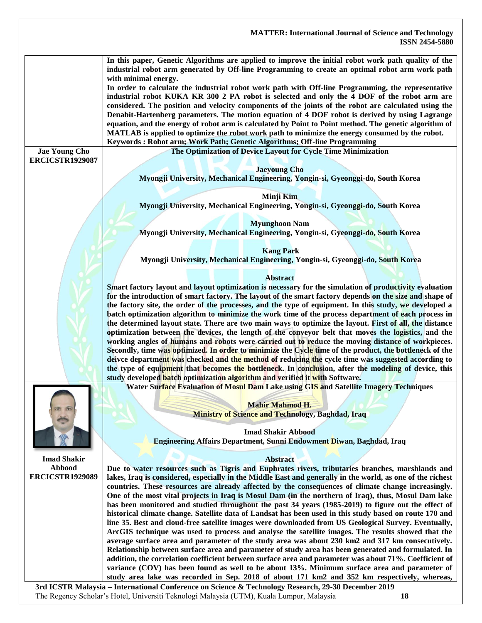

**3rd ICSTR Malaysia – International Conference on Science & Technology Research, 29-30 December 2019** The Regency Scholar's Hotel, Universiti Teknologi Malaysia (UTM), Kuala Lumpur, Malaysia **18**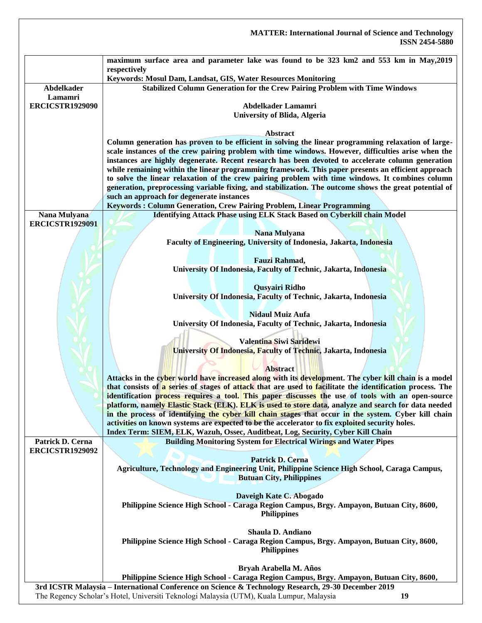|                        | <b>MATTER: International Journal of Science and Technology</b><br><b>ISSN 2454-5880</b>                                                                                                                 |
|------------------------|---------------------------------------------------------------------------------------------------------------------------------------------------------------------------------------------------------|
|                        | maximum surface area and parameter lake was found to be 323 km2 and 553 km in May, 2019<br>respectively                                                                                                 |
| <b>Abdelkader</b>      | Keywords: Mosul Dam, Landsat, GIS, Water Resources Monitoring                                                                                                                                           |
| Lamamri                | <b>Stabilized Column Generation for the Crew Pairing Problem with Time Windows</b>                                                                                                                      |
| <b>ERCICSTR1929090</b> | Abdelkader Lamamri<br><b>University of Blida, Algeria</b>                                                                                                                                               |
|                        | <b>Abstract</b>                                                                                                                                                                                         |
|                        | Column generation has proven to be efficient in solving the linear programming relaxation of large-                                                                                                     |
|                        | scale instances of the crew pairing problem with time windows. However, difficulties arise when the                                                                                                     |
|                        | instances are highly degenerate. Recent research has been devoted to accelerate column generation<br>while remaining within the linear programming framework. This paper presents an efficient approach |
|                        | to solve the linear relaxation of the crew pairing problem with time windows. It combines column                                                                                                        |
|                        | generation, preprocessing variable fixing, and stabilization. The outcome shows the great potential of                                                                                                  |
|                        | such an approach for degenerate instances                                                                                                                                                               |
| Nana Mulyana           | Keywords: Column Generation, Crew Pairing Problem, Linear Programming<br><b>Identifying Attack Phase using ELK Stack Based on Cyberkill chain Model</b>                                                 |
| <b>ERCICSTR1929091</b> |                                                                                                                                                                                                         |
|                        | Nana Mulyana                                                                                                                                                                                            |
|                        | Faculty of Engineering, University of Indonesia, Jakarta, Indonesia                                                                                                                                     |
|                        | Fauzi Rahmad,                                                                                                                                                                                           |
|                        | University Of Indonesia, Faculty of Technic, Jakarta, Indonesia                                                                                                                                         |
|                        |                                                                                                                                                                                                         |
|                        | <b>Qusyairi Ridho</b><br>University Of Indonesia, Faculty of Technic, Jakarta, Indonesia                                                                                                                |
|                        |                                                                                                                                                                                                         |
|                        | <b>Nidaul Muiz Aufa</b>                                                                                                                                                                                 |
|                        | University Of Indonesia, Faculty of Technic, Jakarta, Indonesia                                                                                                                                         |
|                        | Valentina Siwi Saridewi                                                                                                                                                                                 |
|                        | University Of Indonesia, Faculty of Technic, Jakarta, Indonesia                                                                                                                                         |
|                        |                                                                                                                                                                                                         |
|                        | <b>Abstract</b><br>Attacks in the cyber world have increased along with its development. The cyber kill chain is a model                                                                                |
|                        | that consists of a series of stages of attack that are used to facilitate the identification process. The                                                                                               |
|                        | identification process requires a tool. This paper discusses the use of tools with an open-source                                                                                                       |
|                        | platform, namely Elastic Stack (ELK). ELK is used to store data, analyze and search for data needed                                                                                                     |
|                        | in the process of identifying the cyber kill chain stages that occur in the system. Cyber kill chain<br>activities on known systems are expected to be the accelerator to fix exploited security holes. |
|                        | Index Term: SIEM, ELK, Wazuh, Ossec, Auditbeat, Log, Security, Cyber Kill Chain                                                                                                                         |
| Patrick D. Cerna       | <b>Building Monitoring System for Electrical Wirings and Water Pipes</b>                                                                                                                                |
| <b>ERCICSTR1929092</b> | Patrick D. Cerna                                                                                                                                                                                        |
|                        | Agriculture, Technology and Engineering Unit, Philippine Science High School, Caraga Campus,                                                                                                            |
|                        | <b>Butuan City, Philippines</b>                                                                                                                                                                         |
|                        |                                                                                                                                                                                                         |
|                        | Daveigh Kate C. Abogado<br>Philippine Science High School - Caraga Region Campus, Brgy. Ampayon, Butuan City, 8600,                                                                                     |
|                        | <b>Philippines</b>                                                                                                                                                                                      |
|                        |                                                                                                                                                                                                         |
|                        | Shaula D. Andiano                                                                                                                                                                                       |
|                        | Philippine Science High School - Caraga Region Campus, Brgy. Ampayon, Butuan City, 8600,<br><b>Philippines</b>                                                                                          |
|                        |                                                                                                                                                                                                         |
|                        | Bryah Arabella M. Años                                                                                                                                                                                  |
|                        | Philippine Science High School - Caraga Region Campus, Brgy. Ampayon, Butuan City, 8600,                                                                                                                |
|                        | 3rd ICSTR Malaysia - International Conference on Science & Technology Research, 29-30 December 2019<br>The Regency Scholar's Hotel, Universiti Teknologi Malaysia (UTM), Kuala Lumpur, Malaysia<br>19   |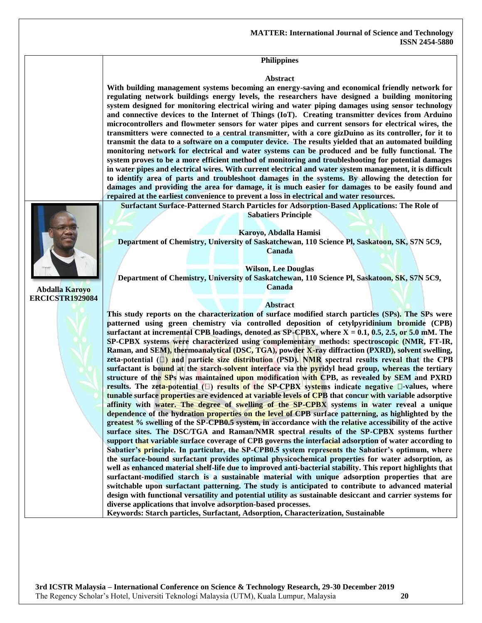#### **Philippines**

#### **Abstract**

**With building management systems becoming an energy-saving and economical friendly network for regulating network buildings energy levels, the researchers have designed a building monitoring system designed for monitoring electrical wiring and water piping damages using sensor technology and connective devices to the Internet of Things (IoT). Creating transmitter devices from Arduino microcontrollers and flowmeter sensors for water pipes and current sensors for electrical wires, the transmitters were connected to a central transmitter, with a core gizDuino as its controller, for it to transmit the data to a software on a computer device. The results yielded that an automated building monitoring network for electrical and water systems can be produced and be fully functional. The system proves to be a more efficient method of monitoring and troubleshooting for potential damages in water pipes and electrical wires. With current electrical and water system management, it is difficult to identify area of parts and troubleshoot damages in the systems. By allowing the detection for damages and providing the area for damage, it is much easier for damages to be easily found and repaired at the earliest convenience to prevent a loss in electrical and water resources.**



**Abdalla Karoyo ERCICSTR1929084**

**Surfactant Surface-Patterned Starch Particles for Adsorption-Based Applications: The Role of Sabatiers Principle**

**Karoyo, Abdalla Hamisi Department of Chemistry, University of Saskatchewan, 110 Science Pl, Saskatoon, SK, S7N 5C9, Canada**

**Wilson, Lee Douglas**

**Department of Chemistry, University of Saskatchewan, 110 Science Pl, Saskatoon, SK, S7N 5C9, Canada**

#### **Abstract**

**This study reports on the characterization of surface modified starch particles (SPs). The SPs were patterned using green chemistry via controlled deposition of cetylpyridinium bromide (CPB) surfactant at incremental CPB loadings, denoted as SP-CPBX, where X = 0.1, 0.5, 2.5, or 5.0 mM. The SP-CPBX systems were characterized using complementary methods: spectroscopic (NMR, FT-IR, Raman, and SEM), thermoanalytical (DSC, TGA), powder X-ray diffraction (PXRD), solvent swelling,**  zeta-potential (D) and particle size distribution (PSD). NMR spectral results reveal that the CPB **surfactant is bound at the starch-solvent interface via the pyridyl head group, whereas the tertiary structure of the SPs was maintained upon modification with CPB, as revealed by SEM and PXRD results.** The zeta-potential  $(\Box)$  results of the SP-CPBX systems indicate negative  $\Box$ -values, where **tunable surface properties are evidenced at variable levels of CPB that concur with variable adsorptive affinity with water. The degree of swelling of the SP-CPBX systems in water reveal a unique dependence of the hydration properties on the level of CPB surface patterning, as highlighted by the greatest % swelling of the SP-CPB0.5 system, in accordance with the relative accessibility of the active surface sites. The DSC/TGA and Raman/NMR spectral results of the SP-CPBX systems further support that variable surface coverage of CPB governs the interfacial adsorption of water according to Sabatier's principle. In particular, the SP-CPB0.5 system represents the Sabatier's optimum, where the surface-bound surfactant provides optimal physicochemical properties for water adsorption, as well as enhanced material shelf-life due to improved anti-bacterial stability. This report highlights that surfactant-modified starch is a sustainable material with unique adsorption properties that are switchable upon surfactant patterning. The study is anticipated to contribute to advanced material design with functional versatility and potential utility as sustainable desiccant and carrier systems for diverse applications that involve adsorption-based processes.** 

**Keywords: Starch particles, Surfactant, Adsorption, Characterization, Sustainable**